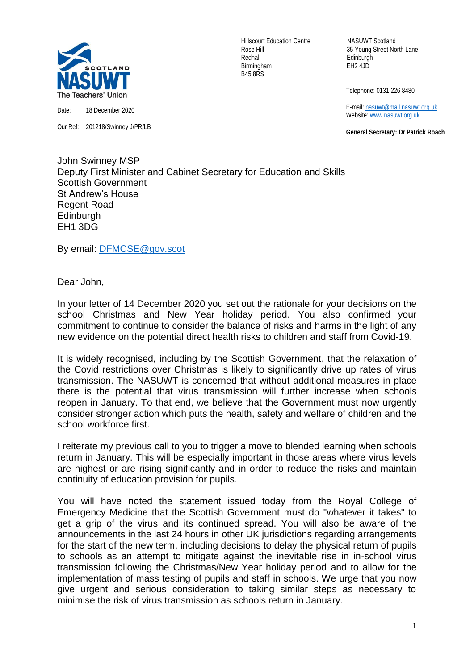

Our Ref: 201218/Swinney J/PR/LB

Hillscourt Education Centre NASUWT Scotland Rednal Edinburgh Birmingham EH2 4JD B45 8RS

Rose Hill 35 Young Street North Lane

Telephone: 0131 226 8480

 E-mail[: nasuwt@mail.nasuwt.org.uk](mailto:nasuwt@mail.nasuwt.org.uk) Website: [www.nasuwt.org.uk](http://www.nasuwt.org.uk/)

 **General Secretary: Dr Patrick Roach**

John Swinney MSP Deputy First Minister and Cabinet Secretary for Education and Skills Scottish Government St Andrew's House Regent Road **Edinburgh** EH1 3DG

By email: [DFMCSE@gov.scot](mailto:DFMCSE@gov.scot)

Dear John,

In your letter of 14 December 2020 you set out the rationale for your decisions on the school Christmas and New Year holiday period. You also confirmed your commitment to continue to consider the balance of risks and harms in the light of any new evidence on the potential direct health risks to children and staff from Covid-19.

It is widely recognised, including by the Scottish Government, that the relaxation of the Covid restrictions over Christmas is likely to significantly drive up rates of virus transmission. The NASUWT is concerned that without additional measures in place there is the potential that virus transmission will further increase when schools reopen in January. To that end, we believe that the Government must now urgently consider stronger action which puts the health, safety and welfare of children and the school workforce first.

I reiterate my previous call to you to trigger a move to blended learning when schools return in January. This will be especially important in those areas where virus levels are highest or are rising significantly and in order to reduce the risks and maintain continuity of education provision for pupils.

You will have noted the statement issued today from the Royal College of Emergency Medicine that the Scottish Government must do "whatever it takes" to get a grip of the virus and its continued spread. You will also be aware of the announcements in the last 24 hours in other UK jurisdictions regarding arrangements for the start of the new term, including decisions to delay the physical return of pupils to schools as an attempt to mitigate against the inevitable rise in in-school virus transmission following the Christmas/New Year holiday period and to allow for the implementation of mass testing of pupils and staff in schools. We urge that you now give urgent and serious consideration to taking similar steps as necessary to minimise the risk of virus transmission as schools return in January.